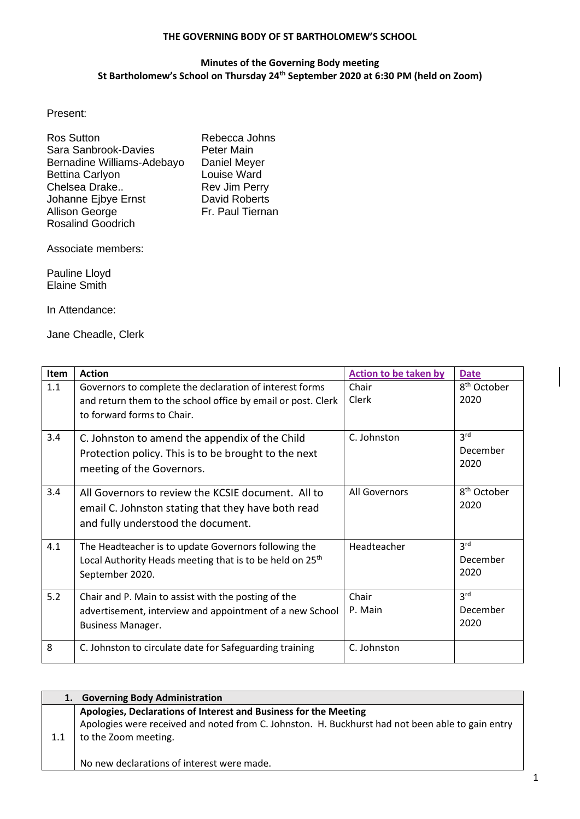## **THE GOVERNING BODY OF ST BARTHOLOMEW'S SCHOOL**

## **Minutes of the Governing Body meeting St Bartholomew's School on Thursday 24th September 2020 at 6:30 PM (held on Zoom)**

Present:

| <b>Ros Sutton</b>          | Rebecca Johns        |
|----------------------------|----------------------|
| Sara Sanbrook-Davies       | <b>Peter Main</b>    |
| Bernadine Williams-Adebayo | Daniel Meyer         |
| <b>Bettina Carlyon</b>     | Louise Ward          |
| Chelsea Drake              | <b>Rev Jim Perry</b> |
| Johanne Ejbye Ernst        | <b>David Roberts</b> |
| Allison George             | Fr. Paul Tiernan     |
| <b>Rosalind Goodrich</b>   |                      |

Associate members:

Pauline Lloyd Elaine Smith

In Attendance:

Jane Cheadle, Clerk

| Item | <b>Action</b>                                                                                                                                         | Action to be taken by | <b>Date</b>                         |
|------|-------------------------------------------------------------------------------------------------------------------------------------------------------|-----------------------|-------------------------------------|
| 1.1  | Governors to complete the declaration of interest forms<br>and return them to the school office by email or post. Clerk<br>to forward forms to Chair. | Chair<br>Clerk        | 8 <sup>th</sup> October<br>2020     |
| 3.4  | C. Johnston to amend the appendix of the Child<br>Protection policy. This is to be brought to the next<br>meeting of the Governors.                   | C. Johnston           | 3 <sup>rd</sup><br>December<br>2020 |
| 3.4  | All Governors to review the KCSIE document. All to<br>email C. Johnston stating that they have both read<br>and fully understood the document.        | All Governors         | 8 <sup>th</sup> October<br>2020     |
| 4.1  | The Headteacher is to update Governors following the<br>Local Authority Heads meeting that is to be held on 25 <sup>th</sup><br>September 2020.       | Headteacher           | 3 <sup>rd</sup><br>December<br>2020 |
| 5.2  | Chair and P. Main to assist with the posting of the<br>advertisement, interview and appointment of a new School<br><b>Business Manager.</b>           | Chair<br>P. Main      | 3 <sup>rd</sup><br>December<br>2020 |
| 8    | C. Johnston to circulate date for Safeguarding training                                                                                               | C. Johnston           |                                     |

| 1.  | <b>Governing Body Administration</b>                                                             |
|-----|--------------------------------------------------------------------------------------------------|
|     | Apologies, Declarations of Interest and Business for the Meeting                                 |
|     | Apologies were received and noted from C. Johnston. H. Buckhurst had not been able to gain entry |
| 1.1 | to the Zoom meeting.                                                                             |
|     |                                                                                                  |
|     | No new declarations of interest were made.                                                       |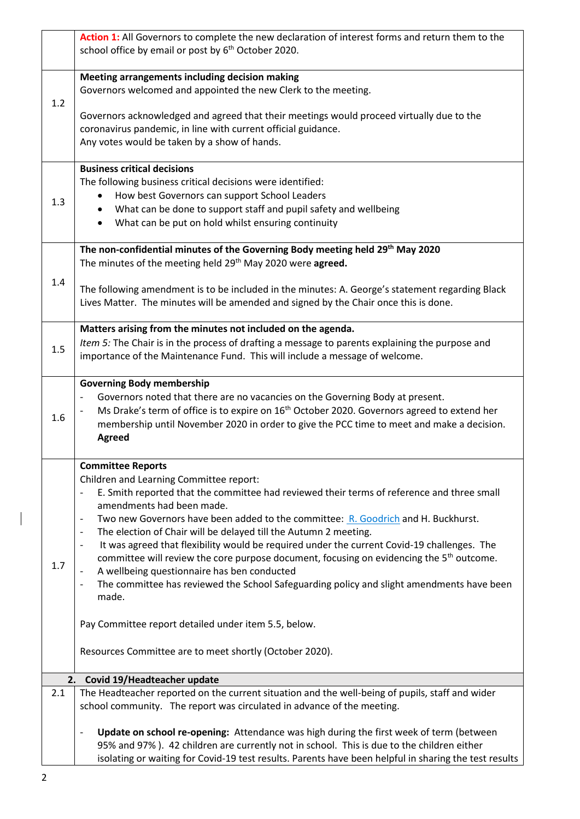|     | Action 1: All Governors to complete the new declaration of interest forms and return them to the                                    |
|-----|-------------------------------------------------------------------------------------------------------------------------------------|
|     | school office by email or post by 6 <sup>th</sup> October 2020.                                                                     |
|     |                                                                                                                                     |
|     | Meeting arrangements including decision making                                                                                      |
|     | Governors welcomed and appointed the new Clerk to the meeting.                                                                      |
| 1.2 |                                                                                                                                     |
|     | Governors acknowledged and agreed that their meetings would proceed virtually due to the                                            |
|     | coronavirus pandemic, in line with current official guidance.                                                                       |
|     | Any votes would be taken by a show of hands.                                                                                        |
|     | <b>Business critical decisions</b>                                                                                                  |
|     | The following business critical decisions were identified:                                                                          |
|     | How best Governors can support School Leaders                                                                                       |
| 1.3 | What can be done to support staff and pupil safety and wellbeing                                                                    |
|     | What can be put on hold whilst ensuring continuity                                                                                  |
|     |                                                                                                                                     |
|     | The non-confidential minutes of the Governing Body meeting held 29 <sup>th</sup> May 2020                                           |
|     | The minutes of the meeting held 29th May 2020 were agreed.                                                                          |
|     |                                                                                                                                     |
| 1.4 | The following amendment is to be included in the minutes: A. George's statement regarding Black                                     |
|     | Lives Matter. The minutes will be amended and signed by the Chair once this is done.                                                |
|     |                                                                                                                                     |
|     | Matters arising from the minutes not included on the agenda.                                                                        |
| 1.5 | Item 5: The Chair is in the process of drafting a message to parents explaining the purpose and                                     |
|     | importance of the Maintenance Fund. This will include a message of welcome.                                                         |
|     |                                                                                                                                     |
|     | <b>Governing Body membership</b>                                                                                                    |
|     | Governors noted that there are no vacancies on the Governing Body at present.                                                       |
| 1.6 | Ms Drake's term of office is to expire on 16 <sup>th</sup> October 2020. Governors agreed to extend her<br>$\overline{\phantom{0}}$ |
|     | membership until November 2020 in order to give the PCC time to meet and make a decision.                                           |
|     | <b>Agreed</b>                                                                                                                       |
|     | <b>Committee Reports</b>                                                                                                            |
|     | Children and Learning Committee report:                                                                                             |
|     | E. Smith reported that the committee had reviewed their terms of reference and three small<br>$\overline{\phantom{0}}$              |
|     | amendments had been made.                                                                                                           |
|     | Two new Governors have been added to the committee: R. Goodrich and H. Buckhurst.                                                   |
|     | The election of Chair will be delayed till the Autumn 2 meeting.<br>$\overline{\phantom{a}}$                                        |
|     | It was agreed that flexibility would be required under the current Covid-19 challenges. The<br>$\qquad \qquad \blacksquare$         |
|     | committee will review the core purpose document, focusing on evidencing the 5 <sup>th</sup> outcome.                                |
| 1.7 | A wellbeing questionnaire has ben conducted<br>$\overline{\phantom{0}}$                                                             |
|     | The committee has reviewed the School Safeguarding policy and slight amendments have been<br>$\overline{\phantom{0}}$               |
|     | made.                                                                                                                               |
|     |                                                                                                                                     |
|     | Pay Committee report detailed under item 5.5, below.                                                                                |
|     |                                                                                                                                     |
|     | Resources Committee are to meet shortly (October 2020).                                                                             |
| 2.  | Covid 19/Headteacher update                                                                                                         |
| 2.1 | The Headteacher reported on the current situation and the well-being of pupils, staff and wider                                     |
|     | school community. The report was circulated in advance of the meeting.                                                              |
|     |                                                                                                                                     |
|     | Update on school re-opening: Attendance was high during the first week of term (between<br>$\overline{a}$                           |
|     | 95% and 97%). 42 children are currently not in school. This is due to the children either                                           |
|     | isolating or waiting for Covid-19 test results. Parents have been helpful in sharing the test results                               |

 $\begin{array}{c} \hline \end{array}$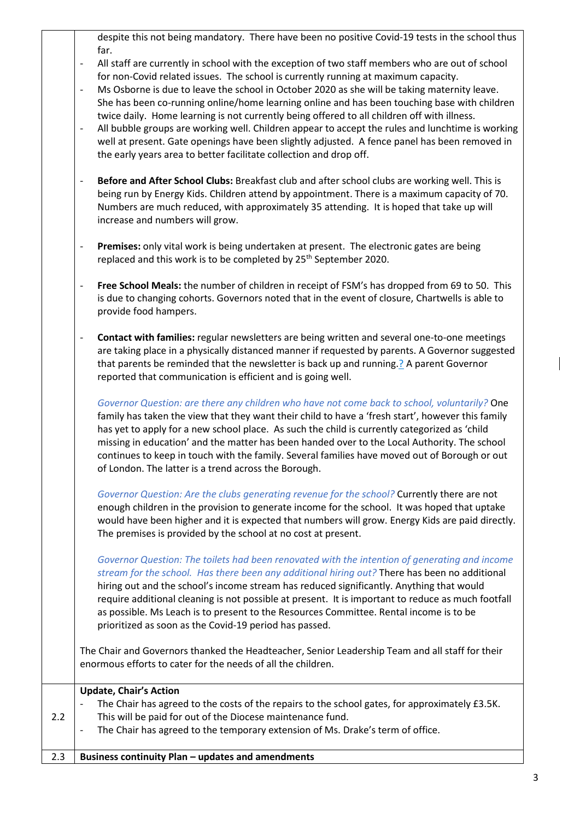despite this not being mandatory. There have been no positive Covid-19 tests in the school thus far.

- All staff are currently in school with the exception of two staff members who are out of school for non-Covid related issues. The school is currently running at maximum capacity.
- Ms Osborne is due to leave the school in October 2020 as she will be taking maternity leave. She has been co-running online/home learning online and has been touching base with children twice daily. Home learning is not currently being offered to all children off with illness.
- All bubble groups are working well. Children appear to accept the rules and lunchtime is working well at present. Gate openings have been slightly adjusted. A fence panel has been removed in the early years area to better facilitate collection and drop off.
- **Before and After School Clubs:** Breakfast club and after school clubs are working well. This is being run by Energy Kids. Children attend by appointment. There is a maximum capacity of 70. Numbers are much reduced, with approximately 35 attending. It is hoped that take up will increase and numbers will grow.
- **Premises:** only vital work is being undertaken at present. The electronic gates are being replaced and this work is to be completed by 25<sup>th</sup> September 2020.
- **Free School Meals:** the number of children in receipt of FSM's has dropped from 69 to 50. This is due to changing cohorts. Governors noted that in the event of closure, Chartwells is able to provide food hampers.
- **Contact with families:** regular newsletters are being written and several one-to-one meetings are taking place in a physically distanced manner if requested by parents. A Governor suggested that parents be reminded that the newsletter is back up and running.? A parent Governor reported that communication is efficient and is going well.

*Governor Question: are there any children who have not come back to school, voluntarily?* One family has taken the view that they want their child to have a 'fresh start', however this family has yet to apply for a new school place. As such the child is currently categorized as 'child missing in education' and the matter has been handed over to the Local Authority. The school continues to keep in touch with the family. Several families have moved out of Borough or out of London. The latter is a trend across the Borough.

*Governor Question: Are the clubs generating revenue for the school?* Currently there are not enough children in the provision to generate income for the school. It was hoped that uptake would have been higher and it is expected that numbers will grow. Energy Kids are paid directly. The premises is provided by the school at no cost at present.

*Governor Question: The toilets had been renovated with the intention of generating and income stream for the school. Has there been any additional hiring out?* There has been no additional hiring out and the school's income stream has reduced significantly. Anything that would require additional cleaning is not possible at present. It is important to reduce as much footfall as possible. Ms Leach is to present to the Resources Committee. Rental income is to be prioritized as soon as the Covid-19 period has passed.

The Chair and Governors thanked the Headteacher, Senior Leadership Team and all staff for their enormous efforts to cater for the needs of all the children.

|     | <b>Update, Chair's Action</b>                                                                              |
|-----|------------------------------------------------------------------------------------------------------------|
|     | The Chair has agreed to the costs of the repairs to the school gates, for approximately £3.5K.             |
| 2.2 | This will be paid for out of the Diocese maintenance fund.                                                 |
|     | The Chair has agreed to the temporary extension of Ms. Drake's term of office.<br>$\overline{\phantom{a}}$ |
|     |                                                                                                            |
| 2.3 | Business continuity Plan - updates and amendments                                                          |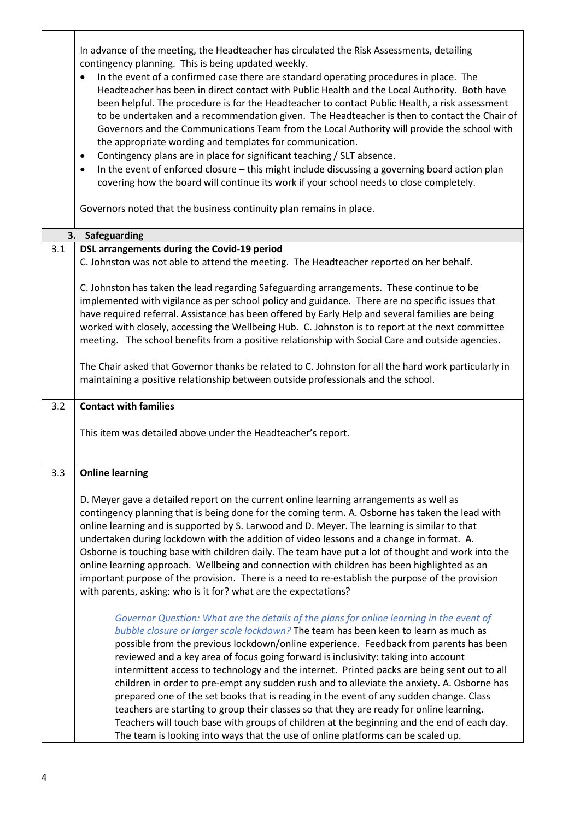In advance of the meeting, the Headteacher has circulated the Risk Assessments, detailing contingency planning. This is being updated weekly.

| $\bullet$ | In the event of a confirmed case there are standard operating procedures in place. The         |
|-----------|------------------------------------------------------------------------------------------------|
|           | Headteacher has been in direct contact with Public Health and the Local Authority. Both have   |
|           | been helpful. The procedure is for the Headteacher to contact Public Health, a risk assessment |
|           | to be undertaken and a recommendation given. The Headteacher is then to contact the Chair of   |
|           | Governors and the Communications Team from the Local Authority will provide the school with    |
|           | the appropriate wording and templates for communication.                                       |

- Contingency plans are in place for significant teaching / SLT absence.
- In the event of enforced closure this might include discussing a governing board action plan covering how the board will continue its work if your school needs to close completely.

Governors noted that the business continuity plan remains in place.

|     | 3. Safeguarding                                                                                                                                                                                 |
|-----|-------------------------------------------------------------------------------------------------------------------------------------------------------------------------------------------------|
| 3.1 | DSL arrangements during the Covid-19 period                                                                                                                                                     |
|     | C. Johnston was not able to attend the meeting. The Headteacher reported on her behalf.                                                                                                         |
|     |                                                                                                                                                                                                 |
|     | C. Johnston has taken the lead regarding Safeguarding arrangements. These continue to be<br>implemented with vigilance as per school policy and guidance. There are no specific issues that     |
|     | have required referral. Assistance has been offered by Early Help and several families are being                                                                                                |
|     | worked with closely, accessing the Wellbeing Hub. C. Johnston is to report at the next committee                                                                                                |
|     | meeting. The school benefits from a positive relationship with Social Care and outside agencies.                                                                                                |
|     |                                                                                                                                                                                                 |
|     | The Chair asked that Governor thanks be related to C. Johnston for all the hard work particularly in                                                                                            |
|     | maintaining a positive relationship between outside professionals and the school.                                                                                                               |
| 3.2 | <b>Contact with families</b>                                                                                                                                                                    |
|     |                                                                                                                                                                                                 |
|     | This item was detailed above under the Headteacher's report.                                                                                                                                    |
|     |                                                                                                                                                                                                 |
| 3.3 | <b>Online learning</b>                                                                                                                                                                          |
|     |                                                                                                                                                                                                 |
|     | D. Meyer gave a detailed report on the current online learning arrangements as well as                                                                                                          |
|     | contingency planning that is being done for the coming term. A. Osborne has taken the lead with                                                                                                 |
|     | online learning and is supported by S. Larwood and D. Meyer. The learning is similar to that                                                                                                    |
|     | undertaken during lockdown with the addition of video lessons and a change in format. A.                                                                                                        |
|     | Osborne is touching base with children daily. The team have put a lot of thought and work into the                                                                                              |
|     | online learning approach. Wellbeing and connection with children has been highlighted as an<br>important purpose of the provision. There is a need to re-establish the purpose of the provision |
|     | with parents, asking: who is it for? what are the expectations?                                                                                                                                 |
|     |                                                                                                                                                                                                 |
|     | Governor Question: What are the details of the plans for online learning in the event of                                                                                                        |
|     | bubble closure or larger scale lockdown? The team has been keen to learn as much as                                                                                                             |
|     | possible from the previous lockdown/online experience. Feedback from parents has been                                                                                                           |
|     | reviewed and a key area of focus going forward is inclusivity: taking into account                                                                                                              |
|     | intermittent access to technology and the internet. Printed packs are being sent out to all<br>children in order to pre-empt any sudden rush and to alleviate the anxiety. A. Osborne has       |
|     | prepared one of the set books that is reading in the event of any sudden change. Class                                                                                                          |
|     | teachers are starting to group their classes so that they are ready for online learning.                                                                                                        |
|     | Teachers will touch base with groups of children at the beginning and the end of each day.                                                                                                      |
|     | The team is looking into ways that the use of online platforms can be scaled up.                                                                                                                |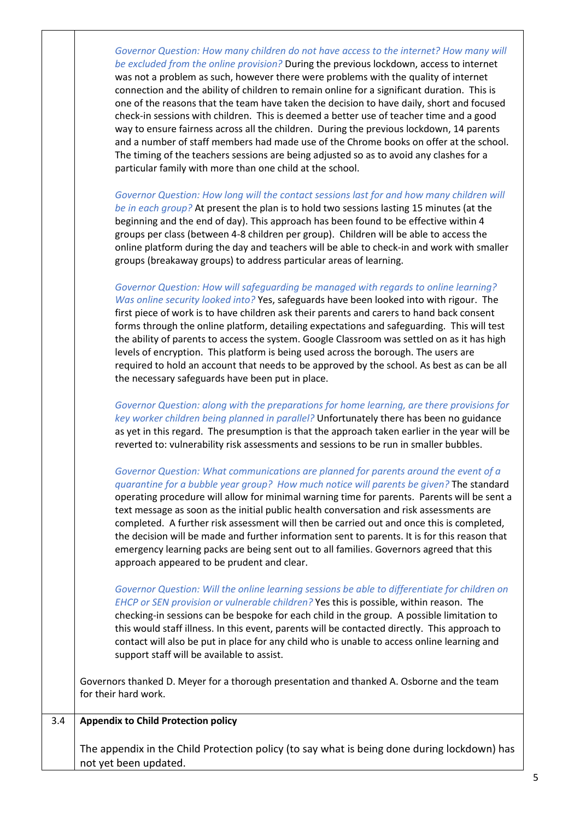|     | Governor Question: How many children do not have access to the internet? How many will<br>be excluded from the online provision? During the previous lockdown, access to internet<br>was not a problem as such, however there were problems with the quality of internet<br>connection and the ability of children to remain online for a significant duration. This is<br>one of the reasons that the team have taken the decision to have daily, short and focused<br>check-in sessions with children. This is deemed a better use of teacher time and a good<br>way to ensure fairness across all the children. During the previous lockdown, 14 parents<br>and a number of staff members had made use of the Chrome books on offer at the school.<br>The timing of the teachers sessions are being adjusted so as to avoid any clashes for a<br>particular family with more than one child at the school. |
|-----|---------------------------------------------------------------------------------------------------------------------------------------------------------------------------------------------------------------------------------------------------------------------------------------------------------------------------------------------------------------------------------------------------------------------------------------------------------------------------------------------------------------------------------------------------------------------------------------------------------------------------------------------------------------------------------------------------------------------------------------------------------------------------------------------------------------------------------------------------------------------------------------------------------------|
|     | Governor Question: How long will the contact sessions last for and how many children will<br>be in each group? At present the plan is to hold two sessions lasting 15 minutes (at the<br>beginning and the end of day). This approach has been found to be effective within 4<br>groups per class (between 4-8 children per group). Children will be able to access the<br>online platform during the day and teachers will be able to check-in and work with smaller<br>groups (breakaway groups) to address particular areas of learning.                                                                                                                                                                                                                                                                                                                                                                   |
|     | Governor Question: How will safeguarding be managed with regards to online learning?<br>Was online security looked into? Yes, safeguards have been looked into with rigour. The<br>first piece of work is to have children ask their parents and carers to hand back consent<br>forms through the online platform, detailing expectations and safeguarding. This will test<br>the ability of parents to access the system. Google Classroom was settled on as it has high<br>levels of encryption. This platform is being used across the borough. The users are<br>required to hold an account that needs to be approved by the school. As best as can be all<br>the necessary safeguards have been put in place.                                                                                                                                                                                            |
|     | Governor Question: along with the preparations for home learning, are there provisions for<br>key worker children being planned in parallel? Unfortunately there has been no guidance<br>as yet in this regard. The presumption is that the approach taken earlier in the year will be<br>reverted to: vulnerability risk assessments and sessions to be run in smaller bubbles.                                                                                                                                                                                                                                                                                                                                                                                                                                                                                                                              |
|     | Governor Question: What communications are planned for parents around the event of a<br>quarantine for a bubble year group? How much notice will parents be given? The standard<br>operating procedure will allow for minimal warning time for parents. Parents will be sent a<br>text message as soon as the initial public health conversation and risk assessments are<br>completed. A further risk assessment will then be carried out and once this is completed,<br>the decision will be made and further information sent to parents. It is for this reason that<br>emergency learning packs are being sent out to all families. Governors agreed that this<br>approach appeared to be prudent and clear.                                                                                                                                                                                              |
|     | Governor Question: Will the online learning sessions be able to differentiate for children on<br>EHCP or SEN provision or vulnerable children? Yes this is possible, within reason. The<br>checking-in sessions can be bespoke for each child in the group. A possible limitation to<br>this would staff illness. In this event, parents will be contacted directly. This approach to<br>contact will also be put in place for any child who is unable to access online learning and<br>support staff will be available to assist.                                                                                                                                                                                                                                                                                                                                                                            |
|     | Governors thanked D. Meyer for a thorough presentation and thanked A. Osborne and the team<br>for their hard work.                                                                                                                                                                                                                                                                                                                                                                                                                                                                                                                                                                                                                                                                                                                                                                                            |
| 3.4 | <b>Appendix to Child Protection policy</b>                                                                                                                                                                                                                                                                                                                                                                                                                                                                                                                                                                                                                                                                                                                                                                                                                                                                    |
|     | The appendix in the Child Protection policy (to say what is being done during lockdown) has<br>not yet been updated.                                                                                                                                                                                                                                                                                                                                                                                                                                                                                                                                                                                                                                                                                                                                                                                          |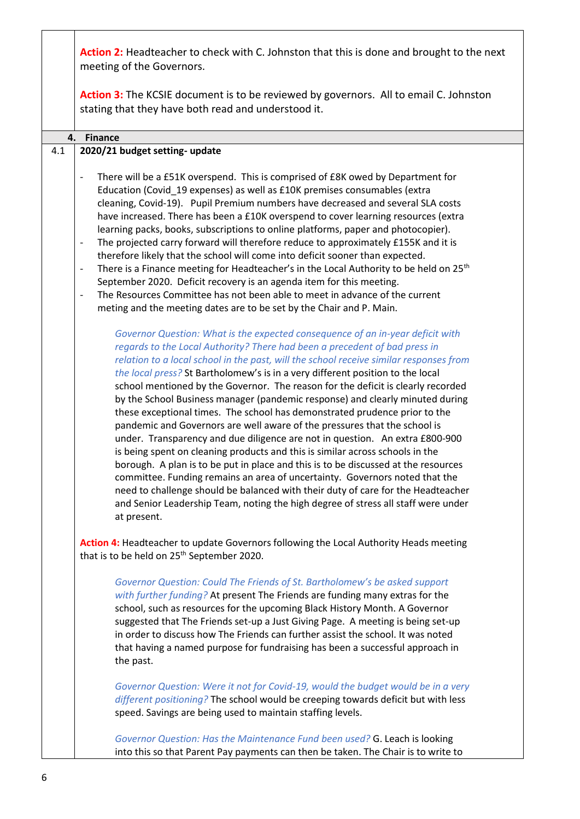|     | Action 2: Headteacher to check with C. Johnston that this is done and brought to the next<br>meeting of the Governors.                                                                                                                                                                                                                                                                                                                                                                                                                                                                                                                                                                                                                                                                                                                                                                                                                                                                                                                                                                                                                                                                                                                                                                                                                                    |
|-----|-----------------------------------------------------------------------------------------------------------------------------------------------------------------------------------------------------------------------------------------------------------------------------------------------------------------------------------------------------------------------------------------------------------------------------------------------------------------------------------------------------------------------------------------------------------------------------------------------------------------------------------------------------------------------------------------------------------------------------------------------------------------------------------------------------------------------------------------------------------------------------------------------------------------------------------------------------------------------------------------------------------------------------------------------------------------------------------------------------------------------------------------------------------------------------------------------------------------------------------------------------------------------------------------------------------------------------------------------------------|
|     | Action 3: The KCSIE document is to be reviewed by governors. All to email C. Johnston<br>stating that they have both read and understood it.                                                                                                                                                                                                                                                                                                                                                                                                                                                                                                                                                                                                                                                                                                                                                                                                                                                                                                                                                                                                                                                                                                                                                                                                              |
| 4.  | <b>Finance</b>                                                                                                                                                                                                                                                                                                                                                                                                                                                                                                                                                                                                                                                                                                                                                                                                                                                                                                                                                                                                                                                                                                                                                                                                                                                                                                                                            |
| 4.1 | 2020/21 budget setting- update                                                                                                                                                                                                                                                                                                                                                                                                                                                                                                                                                                                                                                                                                                                                                                                                                                                                                                                                                                                                                                                                                                                                                                                                                                                                                                                            |
|     |                                                                                                                                                                                                                                                                                                                                                                                                                                                                                                                                                                                                                                                                                                                                                                                                                                                                                                                                                                                                                                                                                                                                                                                                                                                                                                                                                           |
|     | There will be a £51K overspend. This is comprised of £8K owed by Department for<br>$\overline{\phantom{a}}$<br>Education (Covid_19 expenses) as well as £10K premises consumables (extra<br>cleaning, Covid-19). Pupil Premium numbers have decreased and several SLA costs<br>have increased. There has been a £10K overspend to cover learning resources (extra<br>learning packs, books, subscriptions to online platforms, paper and photocopier).<br>The projected carry forward will therefore reduce to approximately £155K and it is<br>$\qquad \qquad \blacksquare$<br>therefore likely that the school will come into deficit sooner than expected.<br>There is a Finance meeting for Headteacher's in the Local Authority to be held on 25 <sup>th</sup><br>$\overline{\phantom{a}}$<br>September 2020. Deficit recovery is an agenda item for this meeting.<br>The Resources Committee has not been able to meet in advance of the current<br>$\overline{a}$                                                                                                                                                                                                                                                                                                                                                                                  |
|     | meting and the meeting dates are to be set by the Chair and P. Main.                                                                                                                                                                                                                                                                                                                                                                                                                                                                                                                                                                                                                                                                                                                                                                                                                                                                                                                                                                                                                                                                                                                                                                                                                                                                                      |
|     | Governor Question: What is the expected consequence of an in-year deficit with<br>regards to the Local Authority? There had been a precedent of bad press in<br>relation to a local school in the past, will the school receive similar responses from<br>the local press? St Bartholomew's is in a very different position to the local<br>school mentioned by the Governor. The reason for the deficit is clearly recorded<br>by the School Business manager (pandemic response) and clearly minuted during<br>these exceptional times. The school has demonstrated prudence prior to the<br>pandemic and Governors are well aware of the pressures that the school is<br>under. Transparency and due diligence are not in question. An extra £800-900<br>is being spent on cleaning products and this is similar across schools in the<br>borough. A plan is to be put in place and this is to be discussed at the resources<br>committee. Funding remains an area of uncertainty. Governors noted that the<br>need to challenge should be balanced with their duty of care for the Headteacher<br>and Senior Leadership Team, noting the high degree of stress all staff were under<br>at present.<br>Action 4: Headteacher to update Governors following the Local Authority Heads meeting<br>that is to be held on 25 <sup>th</sup> September 2020. |
|     | Governor Question: Could The Friends of St. Bartholomew's be asked support<br>with further funding? At present The Friends are funding many extras for the<br>school, such as resources for the upcoming Black History Month. A Governor<br>suggested that The Friends set-up a Just Giving Page. A meeting is being set-up<br>in order to discuss how The Friends can further assist the school. It was noted<br>that having a named purpose for fundraising has been a successful approach in<br>the past.<br>Governor Question: Were it not for Covid-19, would the budget would be in a very<br>different positioning? The school would be creeping towards deficit but with less<br>speed. Savings are being used to maintain staffing levels.                                                                                                                                                                                                                                                                                                                                                                                                                                                                                                                                                                                                       |
|     | Governor Question: Has the Maintenance Fund been used? G. Leach is looking<br>into this so that Parent Pay payments can then be taken. The Chair is to write to                                                                                                                                                                                                                                                                                                                                                                                                                                                                                                                                                                                                                                                                                                                                                                                                                                                                                                                                                                                                                                                                                                                                                                                           |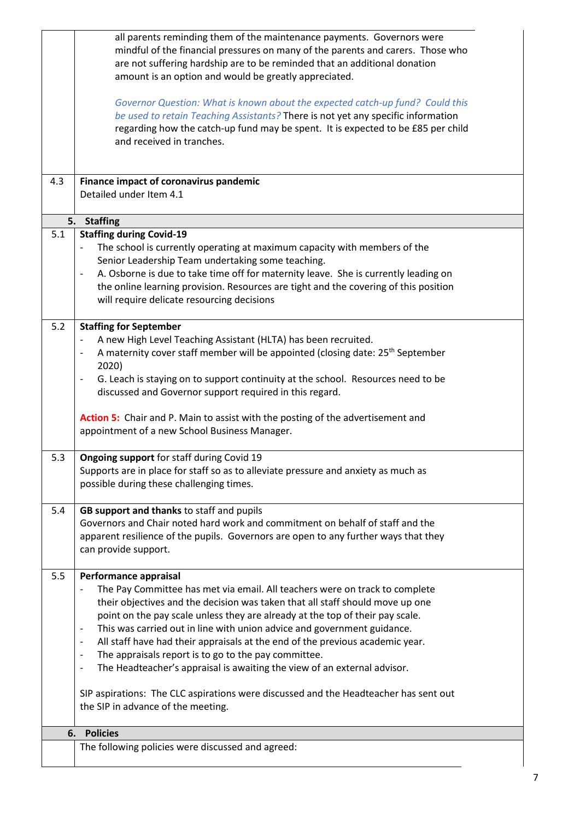|     | all parents reminding them of the maintenance payments. Governors were<br>mindful of the financial pressures on many of the parents and carers. Those who<br>are not suffering hardship are to be reminded that an additional donation<br>amount is an option and would be greatly appreciated.<br>Governor Question: What is known about the expected catch-up fund? Could this                                                                                                                                                                                                                                                                                                                                                                                                   |
|-----|------------------------------------------------------------------------------------------------------------------------------------------------------------------------------------------------------------------------------------------------------------------------------------------------------------------------------------------------------------------------------------------------------------------------------------------------------------------------------------------------------------------------------------------------------------------------------------------------------------------------------------------------------------------------------------------------------------------------------------------------------------------------------------|
|     | be used to retain Teaching Assistants? There is not yet any specific information<br>regarding how the catch-up fund may be spent. It is expected to be £85 per child<br>and received in tranches.                                                                                                                                                                                                                                                                                                                                                                                                                                                                                                                                                                                  |
| 4.3 | Finance impact of coronavirus pandemic<br>Detailed under Item 4.1                                                                                                                                                                                                                                                                                                                                                                                                                                                                                                                                                                                                                                                                                                                  |
| 5.  | <b>Staffing</b>                                                                                                                                                                                                                                                                                                                                                                                                                                                                                                                                                                                                                                                                                                                                                                    |
| 5.1 | <b>Staffing during Covid-19</b><br>The school is currently operating at maximum capacity with members of the<br>$\overline{\phantom{a}}$<br>Senior Leadership Team undertaking some teaching.<br>A. Osborne is due to take time off for maternity leave. She is currently leading on<br>the online learning provision. Resources are tight and the covering of this position<br>will require delicate resourcing decisions                                                                                                                                                                                                                                                                                                                                                         |
| 5.2 | <b>Staffing for September</b>                                                                                                                                                                                                                                                                                                                                                                                                                                                                                                                                                                                                                                                                                                                                                      |
|     | A new High Level Teaching Assistant (HLTA) has been recruited.<br>$\overline{\phantom{a}}$<br>A maternity cover staff member will be appointed (closing date: 25 <sup>th</sup> September<br>$\overline{\phantom{a}}$<br>2020)<br>G. Leach is staying on to support continuity at the school. Resources need to be                                                                                                                                                                                                                                                                                                                                                                                                                                                                  |
|     | discussed and Governor support required in this regard.                                                                                                                                                                                                                                                                                                                                                                                                                                                                                                                                                                                                                                                                                                                            |
|     | Action 5: Chair and P. Main to assist with the posting of the advertisement and<br>appointment of a new School Business Manager.                                                                                                                                                                                                                                                                                                                                                                                                                                                                                                                                                                                                                                                   |
| 5.3 | Ongoing support for staff during Covid 19<br>Supports are in place for staff so as to alleviate pressure and anxiety as much as<br>possible during these challenging times.                                                                                                                                                                                                                                                                                                                                                                                                                                                                                                                                                                                                        |
| 5.4 | GB support and thanks to staff and pupils                                                                                                                                                                                                                                                                                                                                                                                                                                                                                                                                                                                                                                                                                                                                          |
|     | Governors and Chair noted hard work and commitment on behalf of staff and the<br>apparent resilience of the pupils. Governors are open to any further ways that they<br>can provide support.                                                                                                                                                                                                                                                                                                                                                                                                                                                                                                                                                                                       |
| 5.5 | Performance appraisal<br>The Pay Committee has met via email. All teachers were on track to complete<br>their objectives and the decision was taken that all staff should move up one<br>point on the pay scale unless they are already at the top of their pay scale.<br>This was carried out in line with union advice and government guidance.<br>$\overline{\phantom{a}}$<br>All staff have had their appraisals at the end of the previous academic year.<br>$\overline{\phantom{a}}$<br>The appraisals report is to go to the pay committee.<br>$\overline{\phantom{a}}$<br>The Headteacher's appraisal is awaiting the view of an external advisor.<br>$\qquad \qquad \blacksquare$<br>SIP aspirations: The CLC aspirations were discussed and the Headteacher has sent out |
|     | the SIP in advance of the meeting.                                                                                                                                                                                                                                                                                                                                                                                                                                                                                                                                                                                                                                                                                                                                                 |
| 6.  | <b>Policies</b>                                                                                                                                                                                                                                                                                                                                                                                                                                                                                                                                                                                                                                                                                                                                                                    |
|     | The following policies were discussed and agreed:                                                                                                                                                                                                                                                                                                                                                                                                                                                                                                                                                                                                                                                                                                                                  |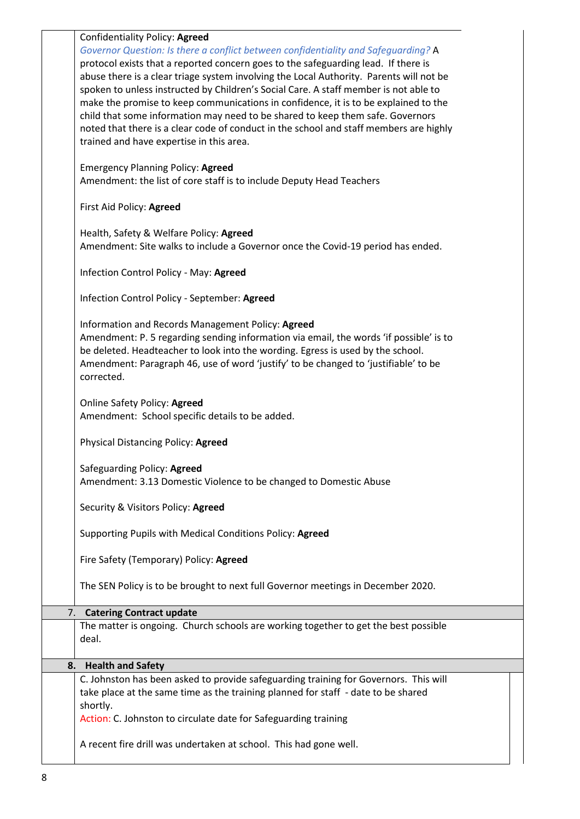|    | Confidentiality Policy: Agreed<br>Governor Question: Is there a conflict between confidentiality and Safeguarding? A<br>protocol exists that a reported concern goes to the safeguarding lead. If there is<br>abuse there is a clear triage system involving the Local Authority. Parents will not be<br>spoken to unless instructed by Children's Social Care. A staff member is not able to<br>make the promise to keep communications in confidence, it is to be explained to the<br>child that some information may need to be shared to keep them safe. Governors<br>noted that there is a clear code of conduct in the school and staff members are highly<br>trained and have expertise in this area.<br><b>Emergency Planning Policy: Agreed</b><br>Amendment: the list of core staff is to include Deputy Head Teachers<br>First Aid Policy: Agreed<br>Health, Safety & Welfare Policy: Agreed<br>Amendment: Site walks to include a Governor once the Covid-19 period has ended.<br>Infection Control Policy - May: Agreed<br>Infection Control Policy - September: Agreed<br>Information and Records Management Policy: Agreed<br>Amendment: P. 5 regarding sending information via email, the words 'if possible' is to<br>be deleted. Headteacher to look into the wording. Egress is used by the school.<br>Amendment: Paragraph 46, use of word 'justify' to be changed to 'justifiable' to be<br>corrected. |
|----|-----------------------------------------------------------------------------------------------------------------------------------------------------------------------------------------------------------------------------------------------------------------------------------------------------------------------------------------------------------------------------------------------------------------------------------------------------------------------------------------------------------------------------------------------------------------------------------------------------------------------------------------------------------------------------------------------------------------------------------------------------------------------------------------------------------------------------------------------------------------------------------------------------------------------------------------------------------------------------------------------------------------------------------------------------------------------------------------------------------------------------------------------------------------------------------------------------------------------------------------------------------------------------------------------------------------------------------------------------------------------------------------------------------------------------|
|    | Online Safety Policy: Agreed<br>Amendment: School specific details to be added.                                                                                                                                                                                                                                                                                                                                                                                                                                                                                                                                                                                                                                                                                                                                                                                                                                                                                                                                                                                                                                                                                                                                                                                                                                                                                                                                             |
|    | Physical Distancing Policy: Agreed                                                                                                                                                                                                                                                                                                                                                                                                                                                                                                                                                                                                                                                                                                                                                                                                                                                                                                                                                                                                                                                                                                                                                                                                                                                                                                                                                                                          |
|    | Safeguarding Policy: Agreed<br>Amendment: 3.13 Domestic Violence to be changed to Domestic Abuse                                                                                                                                                                                                                                                                                                                                                                                                                                                                                                                                                                                                                                                                                                                                                                                                                                                                                                                                                                                                                                                                                                                                                                                                                                                                                                                            |
|    | Security & Visitors Policy: Agreed                                                                                                                                                                                                                                                                                                                                                                                                                                                                                                                                                                                                                                                                                                                                                                                                                                                                                                                                                                                                                                                                                                                                                                                                                                                                                                                                                                                          |
|    | Supporting Pupils with Medical Conditions Policy: Agreed                                                                                                                                                                                                                                                                                                                                                                                                                                                                                                                                                                                                                                                                                                                                                                                                                                                                                                                                                                                                                                                                                                                                                                                                                                                                                                                                                                    |
|    | Fire Safety (Temporary) Policy: Agreed                                                                                                                                                                                                                                                                                                                                                                                                                                                                                                                                                                                                                                                                                                                                                                                                                                                                                                                                                                                                                                                                                                                                                                                                                                                                                                                                                                                      |
|    | The SEN Policy is to be brought to next full Governor meetings in December 2020.                                                                                                                                                                                                                                                                                                                                                                                                                                                                                                                                                                                                                                                                                                                                                                                                                                                                                                                                                                                                                                                                                                                                                                                                                                                                                                                                            |
| 7. | <b>Catering Contract update</b>                                                                                                                                                                                                                                                                                                                                                                                                                                                                                                                                                                                                                                                                                                                                                                                                                                                                                                                                                                                                                                                                                                                                                                                                                                                                                                                                                                                             |
|    | The matter is ongoing. Church schools are working together to get the best possible<br>deal.                                                                                                                                                                                                                                                                                                                                                                                                                                                                                                                                                                                                                                                                                                                                                                                                                                                                                                                                                                                                                                                                                                                                                                                                                                                                                                                                |
| 8. | <b>Health and Safety</b>                                                                                                                                                                                                                                                                                                                                                                                                                                                                                                                                                                                                                                                                                                                                                                                                                                                                                                                                                                                                                                                                                                                                                                                                                                                                                                                                                                                                    |
|    | C. Johnston has been asked to provide safeguarding training for Governors. This will<br>take place at the same time as the training planned for staff - date to be shared<br>shortly.<br>Action: C. Johnston to circulate date for Safeguarding training                                                                                                                                                                                                                                                                                                                                                                                                                                                                                                                                                                                                                                                                                                                                                                                                                                                                                                                                                                                                                                                                                                                                                                    |
|    | A recent fire drill was undertaken at school. This had gone well.                                                                                                                                                                                                                                                                                                                                                                                                                                                                                                                                                                                                                                                                                                                                                                                                                                                                                                                                                                                                                                                                                                                                                                                                                                                                                                                                                           |